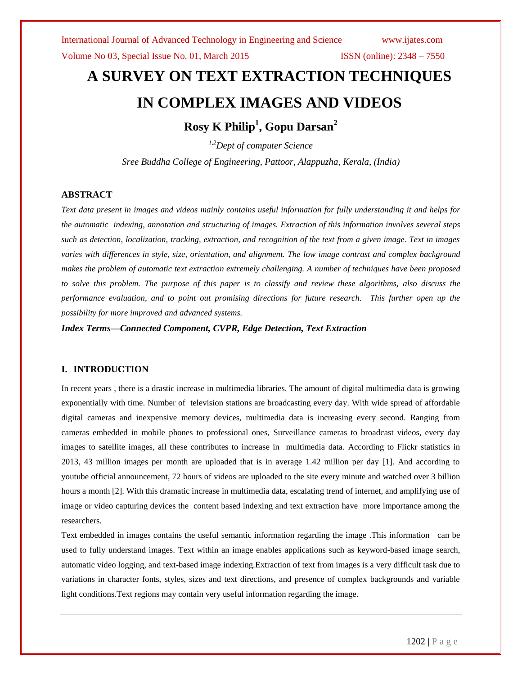Volume No 03, Special Issue No. 01, March 2015 ISSN (online): 2348 – 7550

# **A SURVEY ON TEXT EXTRACTION TECHNIQUES IN COMPLEX IMAGES AND VIDEOS**

**Rosy K Philip<sup>1</sup> , Gopu Darsan<sup>2</sup>**

*1,2Dept of computer Science*

*Sree Buddha College of Engineering, Pattoor, Alappuzha, Kerala, (India)*

### **ABSTRACT**

*Text data present in images and videos mainly contains useful information for fully understanding it and helps for the automatic indexing, annotation and structuring of images. Extraction of this information involves several steps such as detection, localization, tracking, extraction, and recognition of the text from a given image. Text in images varies with differences in style, size, orientation, and alignment. The low image contrast and complex background makes the problem of automatic text extraction extremely challenging. A number of techniques have been proposed to solve this problem. The purpose of this paper is to classify and review these algorithms, also discuss the performance evaluation, and to point out promising directions for future research. This further open up the possibility for more improved and advanced systems.*

*Index Terms—Connected Component, CVPR, Edge Detection, Text Extraction*

### **I. INTRODUCTION**

In recent years , there is a drastic increase in multimedia libraries. The amount of digital multimedia data is growing exponentially with time. Number of television stations are broadcasting every day. With wide spread of affordable digital cameras and inexpensive memory devices, multimedia data is increasing every second. Ranging from cameras embedded in mobile phones to professional ones, Surveillance cameras to broadcast videos, every day images to satellite images, all these contributes to increase in multimedia data. According to Flickr statistics in 2013, 43 million images per month are uploaded that is in average 1.42 million per day [1]. And according to youtube official announcement, 72 hours of videos are uploaded to the site every minute and watched over 3 billion hours a month [2]. With this dramatic increase in multimedia data, escalating trend of internet, and amplifying use of image or video capturing devices the content based indexing and text extraction have more importance among the researchers.

Text embedded in images contains the useful semantic information regarding the image .This information can be used to fully understand images. Text within an image enables applications such as keyword-based image search, automatic video logging, and text-based image indexing.Extraction of text from images is a very difficult task due to variations in character fonts, styles, sizes and text directions, and presence of complex backgrounds and variable light conditions.Text regions may contain very useful information regarding the image.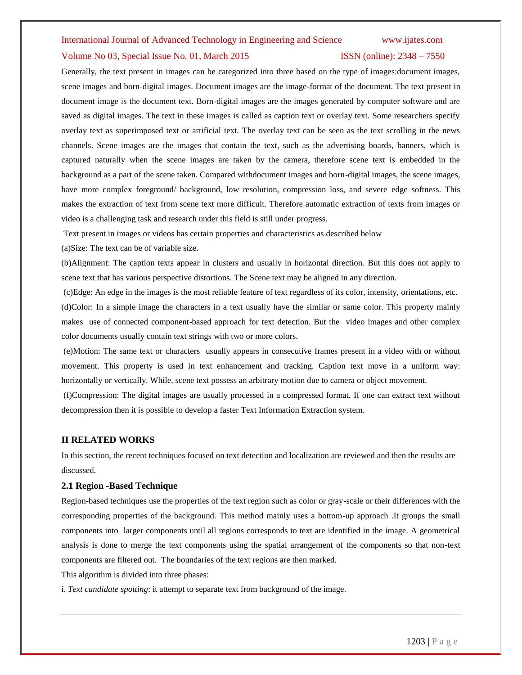# International Journal of Advanced Technology in Engineering and Science www.ijates.com Volume No 03, Special Issue No. 01, March 2015 ISSN (online): 2348 – 7550

Generally, the text present in images can be categorized into three based on the type of images:document images, scene images and born-digital images. Document images are the image-format of the document. The text present in document image is the document text. Born-digital images are the images generated by computer software and are saved as digital images. The text in these images is called as caption text or overlay text. Some researchers specify overlay text as superimposed text or artificial text. The overlay text can be seen as the text scrolling in the news channels. Scene images are the images that contain the text, such as the advertising boards, banners, which is captured naturally when the scene images are taken by the camera, therefore scene text is embedded in the background as a part of the scene taken. Compared withdocument images and born-digital images, the scene images, have more complex foreground/ background, low resolution, compression loss, and severe edge softness. This makes the extraction of text from scene text more difficult. Therefore automatic extraction of texts from images or video is a challenging task and research under this field is still under progress.

Text present in images or videos has certain properties and characteristics as described below

(a)Size: The text can be of variable size.

(b)Alignment: The caption texts appear in clusters and usually in horizontal direction. But this does not apply to scene text that has various perspective distortions. The Scene text may be aligned in any direction.

(c)Edge: An edge in the images is the most reliable feature of text regardless of its color, intensity, orientations, etc. (d)Color: In a simple image the characters in a text usually have the similar or same color. This property mainly makes use of connected component-based approach for text detection. But the video images and other complex color documents usually contain text strings with two or more colors.

(e)Motion: The same text or characters usually appears in consecutive frames present in a video with or without movement. This property is used in text enhancement and tracking. Caption text move in a uniform way: horizontally or vertically. While, scene text possess an arbitrary motion due to camera or object movement.

(f)Compression: The digital images are usually processed in a compressed format. If one can extract text without decompression then it is possible to develop a faster Text Information Extraction system.

#### **II RELATED WORKS**

In this section, the recent techniques focused on text detection and localization are reviewed and then the results are discussed.

#### **2.1 Region -Based Technique**

Region-based techniques use the properties of the text region such as color or gray-scale or their differences with the corresponding properties of the background. This method mainly uses a bottom-up approach .It groups the small components into larger components until all regions corresponds to text are identified in the image. A geometrical analysis is done to merge the text components using the spatial arrangement of the components so that non-text components are filtered out. The boundaries of the text regions are then marked.

This algorithm is divided into three phases:

i. *Text candidate spotting*: it attempt to separate text from background of the image.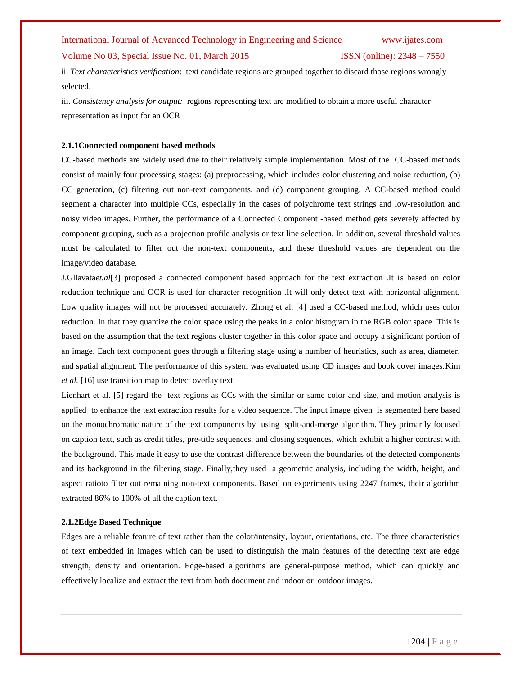#### Volume No 03, Special Issue No. 01, March 2015 ISSN (online): 2348 – 7550

ii. *Text characteristics verification*: text candidate regions are grouped together to discard those regions wrongly selected.

iii. *Consistency analysis for output:* regions representing text are modified to obtain a more useful character representation as input for an OCR

#### **2.1.1Connected component based methods**

CC-based methods are widely used due to their relatively simple implementation. Most of the CC-based methods consist of mainly four processing stages: (a) preprocessing, which includes color clustering and noise reduction, (b) CC generation, (c) filtering out non-text components, and (d) component grouping. A CC-based method could segment a character into multiple CCs, especially in the cases of polychrome text strings and low-resolution and noisy video images. Further, the performance of a Connected Component -based method gets severely affected by component grouping, such as a projection profile analysis or text line selection. In addition, several threshold values must be calculated to filter out the non-text components, and these threshold values are dependent on the image/video database.

J.Gllavata*et.al*[3] proposed a connected component based approach for the text extraction .It is based on color reduction technique and OCR is used for character recognition .It will only detect text with horizontal alignment. Low quality images will not be processed accurately. Zhong et al. [4] used a CC-based method, which uses color reduction. In that they quantize the color space using the peaks in a color histogram in the RGB color space. This is based on the assumption that the text regions cluster together in this color space and occupy a significant portion of an image. Each text component goes through a filtering stage using a number of heuristics, such as area, diameter, and spatial alignment. The performance of this system was evaluated using CD images and book cover images.Kim *et al.* [16] use transition map to detect overlay text.

Lienhart et al. [5] regard the text regions as CCs with the similar or same color and size, and motion analysis is applied to enhance the text extraction results for a video sequence. The input image given is segmented here based on the monochromatic nature of the text components by using split-and-merge algorithm. They primarily focused on caption text, such as credit titles, pre-title sequences, and closing sequences, which exhibit a higher contrast with the background. This made it easy to use the contrast difference between the boundaries of the detected components and its background in the filtering stage. Finally,they used a geometric analysis, including the width, height, and aspect ratioto filter out remaining non-text components. Based on experiments using 2247 frames, their algorithm extracted 86% to 100% of all the caption text.

#### **2.1.2Edge Based Technique**

Edges are a reliable feature of text rather than the color/intensity, layout, orientations, etc. The three characteristics of text embedded in images which can be used to distinguish the main features of the detecting text are edge strength, density and orientation. Edge-based algorithms are general-purpose method, which can quickly and effectively localize and extract the text from both document and indoor or outdoor images.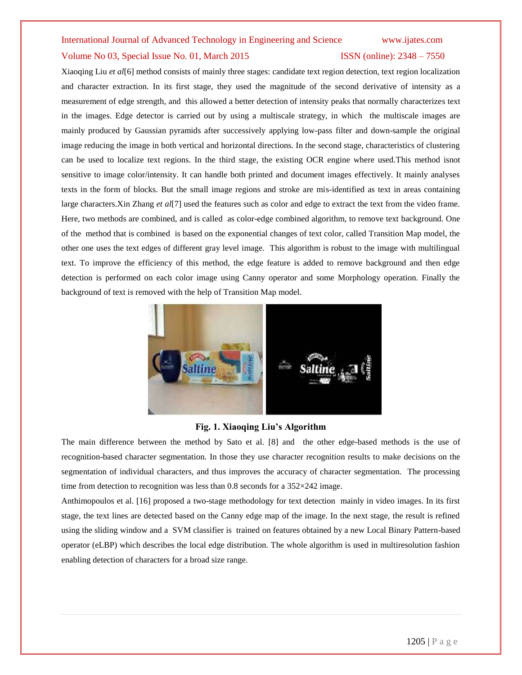# International Journal of Advanced Technology in Engineering and Science www.ijates.com Volume No 03, Special Issue No. 01, March 2015 ISSN (online): 2348 – 7550

Xiaoqing Liu *et al*[6] method consists of mainly three stages: candidate text region detection, text region localization and character extraction. In its first stage, they used the magnitude of the second derivative of intensity as a measurement of edge strength, and this allowed a better detection of intensity peaks that normally characterizes text in the images. Edge detector is carried out by using a multiscale strategy, in which the multiscale images are mainly produced by Gaussian pyramids after successively applying low-pass filter and down-sample the original image reducing the image in both vertical and horizontal directions. In the second stage, characteristics of clustering can be used to localize text regions. In the third stage, the existing OCR engine where used.This method isnot sensitive to image color/intensity. It can handle both printed and document images effectively. It mainly analyses texts in the form of blocks. But the small image regions and stroke are mis-identified as text in areas containing large characters.Xin Zhang *et al*[7] used the features such as color and edge to extract the text from the video frame. Here, two methods are combined, and is called as color-edge combined algorithm, to remove text background. One of the method that is combined is based on the exponential changes of text color, called Transition Map model, the other one uses the text edges of different gray level image. This algorithm is robust to the image with multilingual text. To improve the efficiency of this method, the edge feature is added to remove background and then edge detection is performed on each color image using Canny operator and some Morphology operation. Finally the background of text is removed with the help of Transition Map model.



### **Fig. 1. Xiaoqing Liu's Algorithm**

The main difference between the method by Sato et al. [8] and the other edge-based methods is the use of recognition-based character segmentation. In those they use character recognition results to make decisions on the segmentation of individual characters, and thus improves the accuracy of character segmentation. The processing time from detection to recognition was less than 0.8 seconds for a 352×242 image.

Anthimopoulos et al. [16] proposed a two-stage methodology for text detection mainly in video images. In its first stage, the text lines are detected based on the Canny edge map of the image. In the next stage, the result is refined using the sliding window and a SVM classifier is trained on features obtained by a new Local Binary Pattern-based operator (eLBP) which describes the local edge distribution. The whole algorithm is used in multiresolution fashion enabling detection of characters for a broad size range.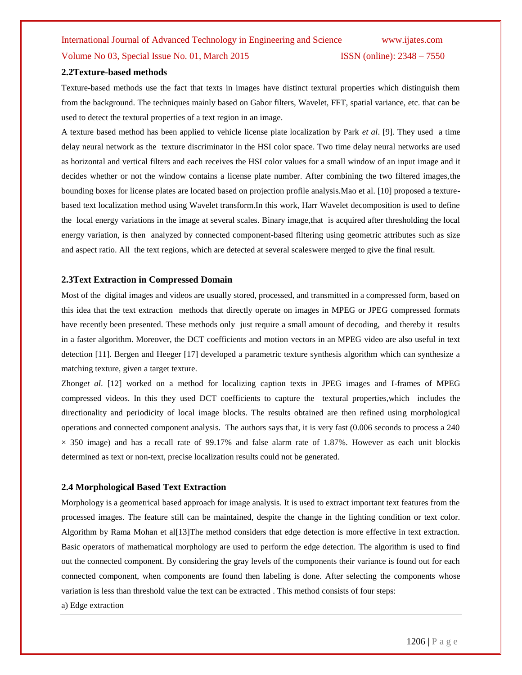# International Journal of Advanced Technology in Engineering and Science www.ijates.com Volume No 03, Special Issue No. 01, March 2015 ISSN (online): 2348 – 7550

#### **2.2Texture-based methods**

Texture-based methods use the fact that texts in images have distinct textural properties which distinguish them from the background. The techniques mainly based on Gabor filters, Wavelet, FFT, spatial variance, etc. that can be used to detect the textural properties of a text region in an image.

A texture based method has been applied to vehicle license plate localization by Park *et al*. [9]. They used a time delay neural network as the texture discriminator in the HSI color space. Two time delay neural networks are used as horizontal and vertical filters and each receives the HSI color values for a small window of an input image and it decides whether or not the window contains a license plate number. After combining the two filtered images,the bounding boxes for license plates are located based on projection profile analysis.Mao et al. [10] proposed a texturebased text localization method using Wavelet transform.In this work, Harr Wavelet decomposition is used to define the local energy variations in the image at several scales. Binary image,that is acquired after thresholding the local energy variation, is then analyzed by connected component-based filtering using geometric attributes such as size and aspect ratio. All the text regions, which are detected at several scaleswere merged to give the final result.

#### **2.3Text Extraction in Compressed Domain**

Most of the digital images and videos are usually stored, processed, and transmitted in a compressed form, based on this idea that the text extraction methods that directly operate on images in MPEG or JPEG compressed formats have recently been presented. These methods only just require a small amount of decoding, and thereby it results in a faster algorithm. Moreover, the DCT coefficients and motion vectors in an MPEG video are also useful in text detection [11]. Bergen and Heeger [17] developed a parametric texture synthesis algorithm which can synthesize a matching texture, given a target texture.

Zhong*et al*. [12] worked on a method for localizing caption texts in JPEG images and I-frames of MPEG compressed videos. In this they used DCT coefficients to capture the textural properties,which includes the directionality and periodicity of local image blocks. The results obtained are then refined using morphological operations and connected component analysis. The authors says that, it is very fast (0.006 seconds to process a 240  $\times$  350 image) and has a recall rate of 99.17% and false alarm rate of 1.87%. However as each unit blockis determined as text or non-text, precise localization results could not be generated.

#### **2.4 Morphological Based Text Extraction**

Morphology is a geometrical based approach for image analysis. It is used to extract important text features from the processed images. The feature still can be maintained, despite the change in the lighting condition or text color. Algorithm by Rama Mohan et al[13]The method considers that edge detection is more effective in text extraction. Basic operators of mathematical morphology are used to perform the edge detection. The algorithm is used to find out the connected component. By considering the gray levels of the components their variance is found out for each connected component, when components are found then labeling is done. After selecting the components whose variation is less than threshold value the text can be extracted . This method consists of four steps: a) Edge extraction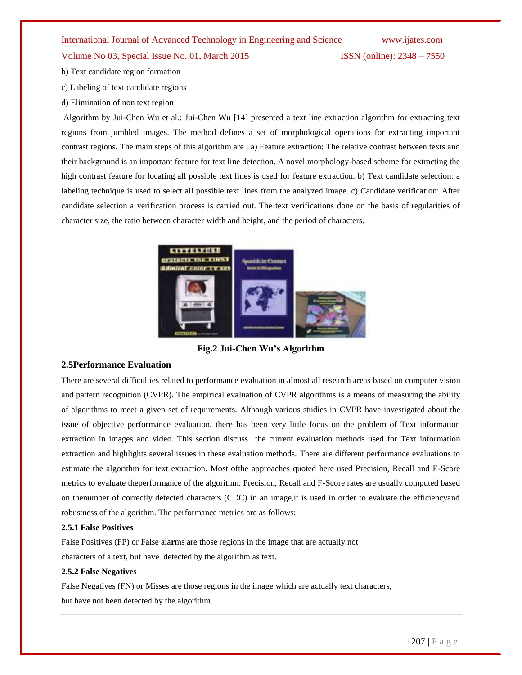#### Volume No 03, Special Issue No. 01, March 2015 ISSN (online): 2348 – 7550

- b) Text candidate region formation
- c) Labeling of text candidate regions
- d) Elimination of non text region

Algorithm by Jui-Chen Wu et al.: Jui-Chen Wu [14] presented a text line extraction algorithm for extracting text regions from jumbled images. The method defines a set of morphological operations for extracting important contrast regions. The main steps of this algorithm are : a) Feature extraction: The relative contrast between texts and their background is an important feature for text line detection. A novel morphology-based scheme for extracting the high contrast feature for locating all possible text lines is used for feature extraction. b) Text candidate selection: a labeling technique is used to select all possible text lines from the analyzed image. c) Candidate verification: After candidate selection a verification process is carried out. The text verifications done on the basis of regularities of character size, the ratio between character width and height, and the period of characters.



**Fig.2 Jui-Chen Wu's Algorithm**

### **2.5Performance Evaluation**

There are several difficulties related to performance evaluation in almost all research areas based on computer vision and pattern recognition (CVPR). The empirical evaluation of CVPR algorithms is a means of measuring the ability of algorithms to meet a given set of requirements. Although various studies in CVPR have investigated about the issue of objective performance evaluation, there has been very little focus on the problem of Text information extraction in images and video. This section discuss the current evaluation methods used for Text information extraction and highlights several issues in these evaluation methods. There are different performance evaluations to estimate the algorithm for text extraction. Most ofthe approaches quoted here used Precision, Recall and F-Score metrics to evaluate theperformance of the algorithm. Precision, Recall and F-Score rates are usually computed based on thenumber of correctly detected characters (CDC) in an image,it is used in order to evaluate the efficiencyand robustness of the algorithm. The performance metrics are as follows:

#### **2.5.1 False Positives**

False Positives (FP) or False ala**r**ms are those regions in the image that are actually not characters of a text, but have detected by the algorithm as text.

#### **2.5.2 False Negatives**

False Negatives (FN) or Misses are those regions in the image which are actually text characters, but have not been detected by the algorithm.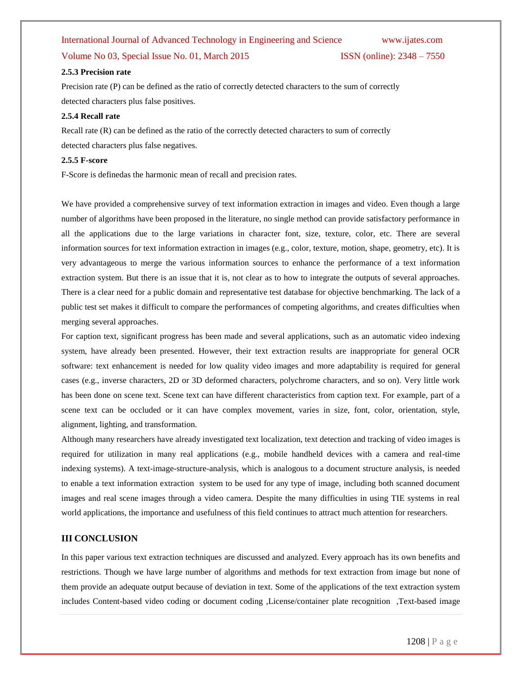#### Volume No 03, Special Issue No. 01, March 2015 **ISSN** (online): 2348 – 7550

#### **2.5.3 Precision rate**

Precision rate (P) can be defined as the ratio of correctly detected characters to the sum of correctly detected characters plus false positives.

#### **2.5.4 Recall rate**

Recall rate (R) can be defined as the ratio of the correctly detected characters to sum of correctly detected characters plus false negatives.

#### **2.5.5 F-score**

F-Score is definedas the harmonic mean of recall and precision rates.

We have provided a comprehensive survey of text information extraction in images and video. Even though a large number of algorithms have been proposed in the literature, no single method can provide satisfactory performance in all the applications due to the large variations in character font, size, texture, color, etc. There are several information sources for text information extraction in images (e.g., color, texture, motion, shape, geometry, etc). It is very advantageous to merge the various information sources to enhance the performance of a text information extraction system. But there is an issue that it is, not clear as to how to integrate the outputs of several approaches. There is a clear need for a public domain and representative test database for objective benchmarking. The lack of a public test set makes it difficult to compare the performances of competing algorithms, and creates difficulties when merging several approaches.

For caption text, significant progress has been made and several applications, such as an automatic video indexing system, have already been presented. However, their text extraction results are inappropriate for general OCR software: text enhancement is needed for low quality video images and more adaptability is required for general cases (e.g., inverse characters, 2D or 3D deformed characters, polychrome characters, and so on). Very little work has been done on scene text. Scene text can have different characteristics from caption text. For example, part of a scene text can be occluded or it can have complex movement, varies in size, font, color, orientation, style, alignment, lighting, and transformation.

Although many researchers have already investigated text localization, text detection and tracking of video images is required for utilization in many real applications (e.g., mobile handheld devices with a camera and real-time indexing systems). A text-image-structure-analysis, which is analogous to a document structure analysis, is needed to enable a text information extraction system to be used for any type of image, including both scanned document images and real scene images through a video camera. Despite the many difficulties in using TIE systems in real world applications, the importance and usefulness of this field continues to attract much attention for researchers.

#### **III CONCLUSION**

In this paper various text extraction techniques are discussed and analyzed. Every approach has its own benefits and restrictions. Though we have large number of algorithms and methods for text extraction from image but none of them provide an adequate output because of deviation in text. Some of the applications of the text extraction system includes Content-based video coding or document coding ,License/container plate recognition ,Text-based image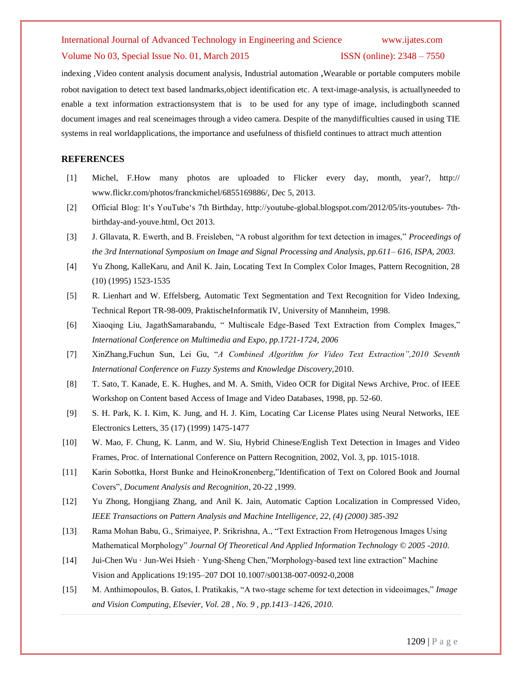#### Volume No 03, Special Issue No. 01, March 2015 ISSN (online): 2348 – 7550

indexing ,Video content analysis document analysis, Industrial automation ,Wearable or portable computers mobile robot navigation to detect text based landmarks,object identification etc. A text-image-analysis, is actuallyneeded to enable a text information extractionsystem that is to be used for any type of image, includingboth scanned document images and real sceneimages through a video camera. Despite of the manydifficulties caused in using TIE systems in real worldapplications, the importance and usefulness of thisfield continues to attract much attention

#### **REFERENCES**

- [1] Michel, F.How many photos are uploaded to Flicker every day, month, year?, http:// www.flickr.com/photos/franckmichel/6855169886/, Dec 5, 2013.
- [2] Official Blog: It"s YouTube"s 7th Birthday, http://youtube-global.blogspot.com/2012/05/its-youtubes- 7thbirthday-and-youve.html, Oct 2013.
- [3] J. Gllavata, R. Ewerth, and B. Freisleben, "A robust algorithm for text detection in images," *Proceedings of the 3rd International Symposium on Image and Signal Processing and Analysis, pp.611– 616, ISPA, 2003.*
- [4] Yu Zhong, KalleKaru, and Anil K. Jain, Locating Text In Complex Color Images, Pattern Recognition, 28 (10) (1995) 1523-1535
- [5] R. Lienhart and W. Effelsberg, Automatic Text Segmentation and Text Recognition for Video Indexing, Technical Report TR-98-009, PraktischeInformatik IV, University of Mannheim, 1998.
- [6] Xiaoqing Liu, JagathSamarabandu, " Multiscale Edge-Based Text Extraction from Complex Images," *International Conference on Multimedia and Expo, pp.1721-1724, 2006*
- [7] XinZhang,Fuchun Sun, Lei Gu, "*A Combined Algorithm for Video Text Extraction",2010 Seventh International Conference on Fuzzy Systems and Knowledge Discovery,*2010.
- [8] T. Sato, T. Kanade, E. K. Hughes, and M. A. Smith, Video OCR for Digital News Archive, Proc. of IEEE Workshop on Content based Access of Image and Video Databases, 1998, pp. 52-60.
- [9] S. H. Park, K. I. Kim, K. Jung, and H. J. Kim, Locating Car License Plates using Neural Networks, IEE Electronics Letters, 35 (17) (1999) 1475-1477
- [10] W. Mao, F. Chung, K. Lanm, and W. Siu, Hybrid Chinese/English Text Detection in Images and Video Frames, Proc. of International Conference on Pattern Recognition, 2002, Vol. 3, pp. 1015-1018.
- [11] Karin Sobottka, Horst Bunke and HeinoKronenberg,"Identification of Text on Colored Book and Journal Covers", *Document Analysis and Recognition*, 20-22 ,1999.
- [12] Yu Zhong, Hongjiang Zhang, and Anil K. Jain, Automatic Caption Localization in Compressed Video, *IEEE Transactions on Pattern Analysis and Machine Intelligence, 22, (4) (2000) 385-392*
- [13] Rama Mohan Babu, G., Srimaiyee, P. Srikrishna, A., "Text Extraction From Hetrogenous Images Using Mathematical Morphology" *Journal Of Theoretical And Applied Information Technology © 2005 -2010.*
- [14] Jui-Chen Wu · Jun-Wei Hsieh · Yung-Sheng Chen,"Morphology-based text line extraction" Machine Vision and Applications 19:195–207 DOI 10.1007/s00138-007-0092-0,2008
- [15] M. Anthimopoulos, B. Gatos, I. Pratikakis, "A two-stage scheme for text detection in videoimages," *Image and Vision Computing, Elsevier, Vol. 28 , No. 9 , pp.1413–1426, 2010.*